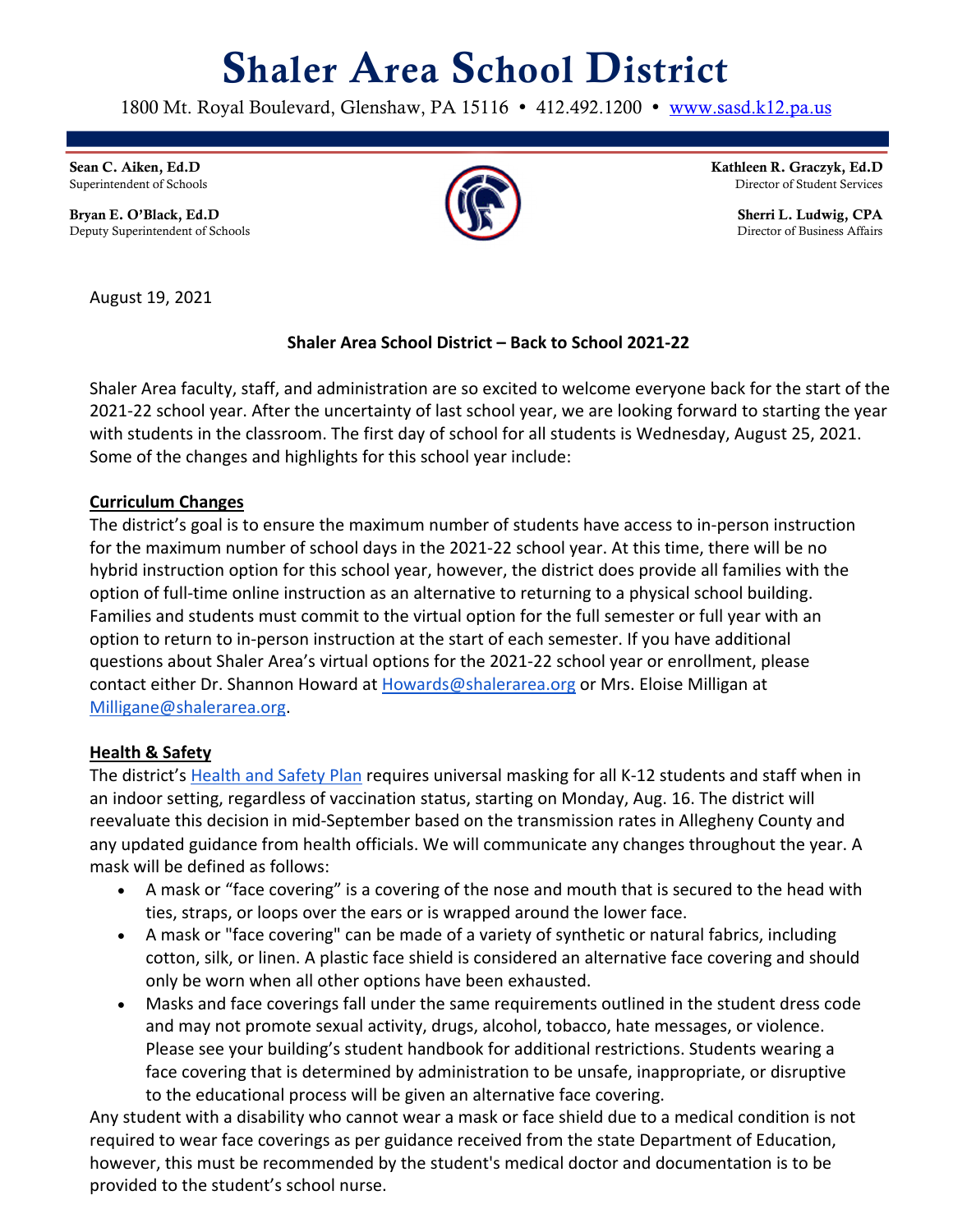# Shaler Area School District

1800 Mt. Royal Boulevard, Glenshaw, PA 15116 • 412.492.1200 • www.sasd.k12.pa.us

Sean C. Aiken, Ed.D Superintendent of Schools

Bryan E. O'Black, Ed.D Deputy Superintendent of Schools

Kathleen R. Graczyk, Ed.D Director of Student Services

> Sherri L. Ludwig, CPA Director of Business Affairs

August 19, 2021

# **Shaler Area School District – Back to School 2021-22**

Shaler Area faculty, staff, and administration are so excited to welcome everyone back for the start of the 2021-22 school year. After the uncertainty of last school year, we are looking forward to starting the year with students in the classroom. The first day of school for all students is Wednesday, August 25, 2021. Some of the changes and highlights for this school year include:

## **Curriculum Changes**

The district's goal is to ensure the maximum number of students have access to in-person instruction for the maximum number of school days in the 2021-22 school year. At this time, there will be no hybrid instruction option for this school year, however, the district does provide all families with the option of full-time online instruction as an alternative to returning to a physical school building. Families and students must commit to the virtual option for the full semester or full year with an option to return to in-person instruction at the start of each semester. If you have additional questions about Shaler Area's virtual options for the 2021-22 school year or enrollment, please contact either Dr. Shannon Howard at Howards@shalerarea.org or Mrs. Eloise Milligan at Milligane@shalerarea.org.

## **Health & Safety**

The district's Health and Safety Plan requires universal masking for all K-12 students and staff when in an indoor setting, regardless of vaccination status, starting on Monday, Aug. 16. The district will reevaluate this decision in mid-September based on the transmission rates in Allegheny County and any updated guidance from health officials. We will communicate any changes throughout the year. A mask will be defined as follows:

- A mask or "face covering" is a covering of the nose and mouth that is secured to the head with ties, straps, or loops over the ears or is wrapped around the lower face.
- A mask or "face covering" can be made of a variety of synthetic or natural fabrics, including cotton, silk, or linen. A plastic face shield is considered an alternative face covering and should only be worn when all other options have been exhausted.
- Masks and face coverings fall under the same requirements outlined in the student dress code and may not promote sexual activity, drugs, alcohol, tobacco, hate messages, or violence. Please see your building's student handbook for additional restrictions. Students wearing a face covering that is determined by administration to be unsafe, inappropriate, or disruptive to the educational process will be given an alternative face covering.

Any student with a disability who cannot wear a mask or face shield due to a medical condition is not required to wear face coverings as per guidance received from the state Department of Education, however, this must be recommended by the student's medical doctor and documentation is to be provided to the student's school nurse.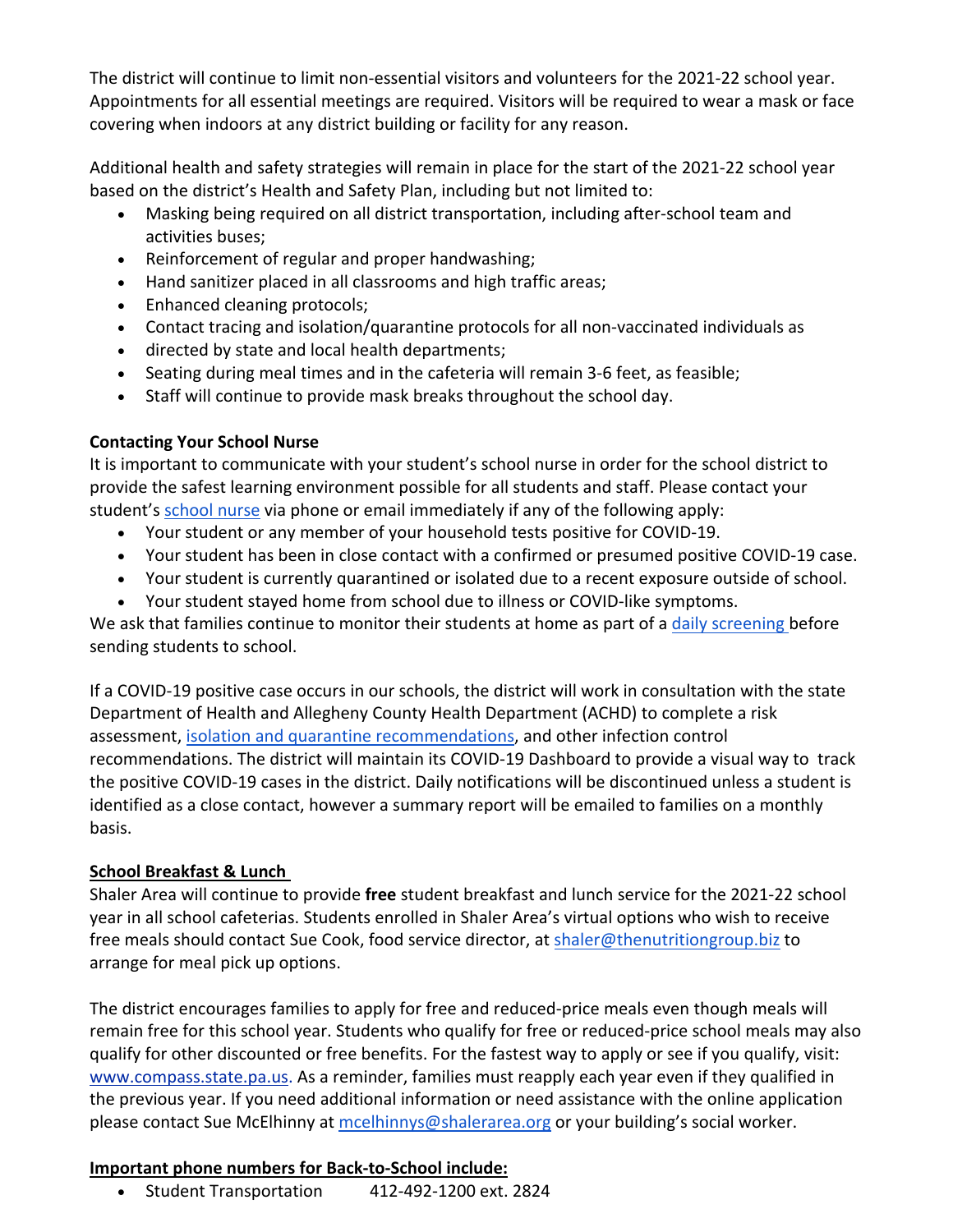The district will continue to limit non-essential visitors and volunteers for the 2021-22 school year. Appointments for all essential meetings are required. Visitors will be required to wear a mask or face covering when indoors at any district building or facility for any reason.

Additional health and safety strategies will remain in place for the start of the 2021-22 school year based on the district's Health and Safety Plan, including but not limited to:

- Masking being required on all district transportation, including after-school team and activities buses;
- Reinforcement of regular and proper handwashing;
- Hand sanitizer placed in all classrooms and high traffic areas;
- Enhanced cleaning protocols;
- Contact tracing and isolation/quarantine protocols for all non-vaccinated individuals as
- directed by state and local health departments;
- Seating during meal times and in the cafeteria will remain 3-6 feet, as feasible;
- Staff will continue to provide mask breaks throughout the school day.

#### **Contacting Your School Nurse**

It is important to communicate with your student's school nurse in order for the school district to provide the safest learning environment possible for all students and staff. Please contact your student's school nurse via phone or email immediately if any of the following apply:

- Your student or any member of your household tests positive for COVID-19.
- Your student has been in close contact with a confirmed or presumed positive COVID-19 case.
- Your student is currently quarantined or isolated due to a recent exposure outside of school.
- Your student stayed home from school due to illness or COVID-like symptoms.

We ask that families continue to monitor their students at home as part of a daily screening before sending students to school.

If a COVID-19 positive case occurs in our schools, the district will work in consultation with the state Department of Health and Allegheny County Health Department (ACHD) to complete a risk assessment, isolation and quarantine recommendations, and other infection control recommendations. The district will maintain its COVID-19 Dashboard to provide a visual way to track the positive COVID-19 cases in the district. Daily notifications will be discontinued unless a student is identified as a close contact, however a summary report will be emailed to families on a monthly basis.

#### **School Breakfast & Lunch**

Shaler Area will continue to provide **free** student breakfast and lunch service for the 2021-22 school year in all school cafeterias. Students enrolled in Shaler Area's virtual options who wish to receive free meals should contact Sue Cook, food service director, at shaler@thenutritiongroup.biz to arrange for meal pick up options.

The district encourages families to apply for free and reduced-price meals even though meals will remain free for this school year. Students who qualify for free or reduced-price school meals may also qualify for other discounted or free benefits. For the fastest way to apply or see if you qualify, visit: www.compass.state.pa.us. As a reminder, families must reapply each year even if they qualified in the previous year. If you need additional information or need assistance with the online application please contact Sue McElhinny at mcelhinnys@shalerarea.org or your building's social worker.

#### **Important phone numbers for Back-to-School include:**

• Student Transportation 412-492-1200 ext. 2824